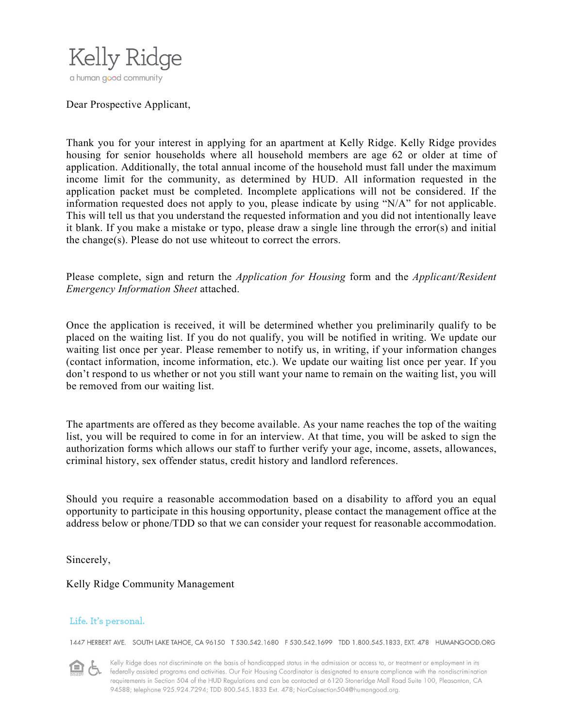

#### Dear Prospective Applicant,

Thank you for your interest in applying for an apartment at Kelly Ridge. Kelly Ridge provides housing for senior households where all household members are age 62 or older at time of application. Additionally, the total annual income of the household must fall under the maximum income limit for the community, as determined by HUD. All information requested in the application packet must be completed. Incomplete applications will not be considered. If the information requested does not apply to you, please indicate by using "N/A" for not applicable. This will tell us that you understand the requested information and you did not intentionally leave it blank. If you make a mistake or typo, please draw a single line through the error(s) and initial the change(s). Please do not use whiteout to correct the errors.

Please complete, sign and return the *Application for Housing* form and the *Applicant/Resident Emergency Information Sheet* attached.

Once the application is received, it will be determined whether you preliminarily qualify to be placed on the waiting list. If you do not qualify, you will be notified in writing. We update our waiting list once per year. Please remember to notify us, in writing, if your information changes (contact information, income information, etc.). We update our waiting list once per year. If you don't respond to us whether or not you still want your name to remain on the waiting list, you will be removed from our waiting list.

The apartments are offered as they become available. As your name reaches the top of the waiting list, you will be required to come in for an interview. At that time, you will be asked to sign the authorization forms which allows our staff to further verify your age, income, assets, allowances, criminal history, sex offender status, credit history and landlord references.

Should you require a reasonable accommodation based on a disability to afford you an equal opportunity to participate in this housing opportunity, please contact the management office at the address below or phone/TDD so that we can consider your request for reasonable accommodation.

Sincerely,

#### Kelly Ridge Community Management

#### Life. It's personal.

1447 HERBERT AVE. SOUTH LAKE TAHOE, CA 96150 T 530.542.1680 F 530.542.1699 TDD 1.800.545.1833, EXT. 478 HUMANGOOD.ORG

Kelly Ridge does not discriminate on the basis of handicapped status in the admission or access to, or treatment or employment in its federally assisted programs and activities. Our Fair Housing Coordinator is designated to ensure compliance with the nondiscrimination requirements in Section 504 of the HUD Regulations and can be contacted at 6120 Stoneridge Mall Road Suite 100, Pleasanton, CA 94588; telephone 925.924.7294; TDD 800.545.1833 Ext. 478; NorCalsection504@humangood.org.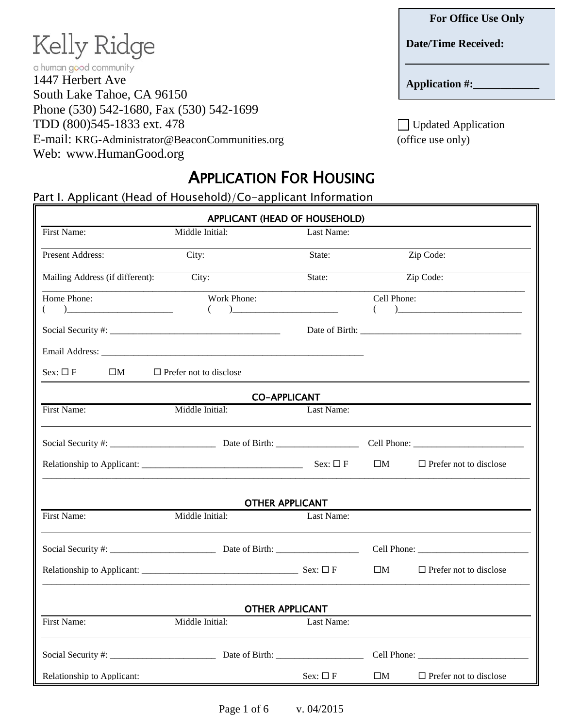### **Date/Time Received:**

**Application #:\_\_\_\_\_\_\_\_\_\_\_\_**

TDD  $(800)545-1833$  ext. 478 Updated Application E-mail: KRG-Administrator@BeaconCommunities.org (office use only)

# APPLICATION FOR HOUSING

Part I. Applicant (Head of Household)/Co-applicant Information

1447 Herbert Ave

a human good community

Kelly Ridge

South Lake Tahoe, CA 96150

Web: www.HumanGood.org

Phone (530) 542-1680, Fax (530) 542-1699

| APPLICANT (HEAD OF HOUSEHOLD)                                                                                                                                                                                                                                                                                                                                                                              |                               |                                                                                                                   |                  |                                  |
|------------------------------------------------------------------------------------------------------------------------------------------------------------------------------------------------------------------------------------------------------------------------------------------------------------------------------------------------------------------------------------------------------------|-------------------------------|-------------------------------------------------------------------------------------------------------------------|------------------|----------------------------------|
| First Name:                                                                                                                                                                                                                                                                                                                                                                                                | Middle Initial:               | Last Name:                                                                                                        |                  |                                  |
| Present Address:                                                                                                                                                                                                                                                                                                                                                                                           | City:                         | State:                                                                                                            |                  | Zip Code:                        |
| Mailing Address (if different):                                                                                                                                                                                                                                                                                                                                                                            | City:                         | State:                                                                                                            |                  | Zip Code:                        |
| Home Phone:<br>$\begin{picture}(20,10) \put(0,0){\dashbox{0.5}(10,0){ }} \put(15,0){\circle{10}} \put(15,0){\circle{10}} \put(15,0){\circle{10}} \put(15,0){\circle{10}} \put(15,0){\circle{10}} \put(15,0){\circle{10}} \put(15,0){\circle{10}} \put(15,0){\circle{10}} \put(15,0){\circle{10}} \put(15,0){\circle{10}} \put(15,0){\circle{10}} \put(15,0){\circle{10}} \put(15,0){\circle{10}} \put(15,$ | Work Phone:<br>$\left($       | $\begin{tabular}{ c c c c } \hline \quad \quad & \quad \quad & \quad \quad & \quad \quad \\ \hline \end{tabular}$ | Cell Phone:<br>( |                                  |
|                                                                                                                                                                                                                                                                                                                                                                                                            |                               |                                                                                                                   |                  |                                  |
|                                                                                                                                                                                                                                                                                                                                                                                                            |                               |                                                                                                                   |                  |                                  |
| Sex: $\square$ F<br>$\square M$                                                                                                                                                                                                                                                                                                                                                                            | $\Box$ Prefer not to disclose |                                                                                                                   |                  |                                  |
|                                                                                                                                                                                                                                                                                                                                                                                                            |                               | <b>CO-APPLICANT</b>                                                                                               |                  |                                  |
| First Name:                                                                                                                                                                                                                                                                                                                                                                                                | Middle Initial:               | Last Name:                                                                                                        |                  |                                  |
|                                                                                                                                                                                                                                                                                                                                                                                                            |                               |                                                                                                                   |                  |                                  |
|                                                                                                                                                                                                                                                                                                                                                                                                            |                               | Sex: $\Box F$                                                                                                     | $\square M$      | $\square$ Prefer not to disclose |
|                                                                                                                                                                                                                                                                                                                                                                                                            |                               | <b>OTHER APPLICANT</b>                                                                                            |                  |                                  |
| First Name:                                                                                                                                                                                                                                                                                                                                                                                                | Middle Initial:               | Last Name:                                                                                                        |                  |                                  |
|                                                                                                                                                                                                                                                                                                                                                                                                            |                               |                                                                                                                   |                  |                                  |
|                                                                                                                                                                                                                                                                                                                                                                                                            |                               |                                                                                                                   | $\square M$      | $\Box$ Prefer not to disclose    |
|                                                                                                                                                                                                                                                                                                                                                                                                            |                               | <b>OTHER APPLICANT</b>                                                                                            |                  |                                  |
| First Name:                                                                                                                                                                                                                                                                                                                                                                                                | Middle Initial:               | Last Name:                                                                                                        |                  |                                  |
|                                                                                                                                                                                                                                                                                                                                                                                                            |                               |                                                                                                                   |                  |                                  |
| Relationship to Applicant:                                                                                                                                                                                                                                                                                                                                                                                 |                               | $Sex: \Box F$                                                                                                     | $\square M$      | $\Box$ Prefer not to disclose    |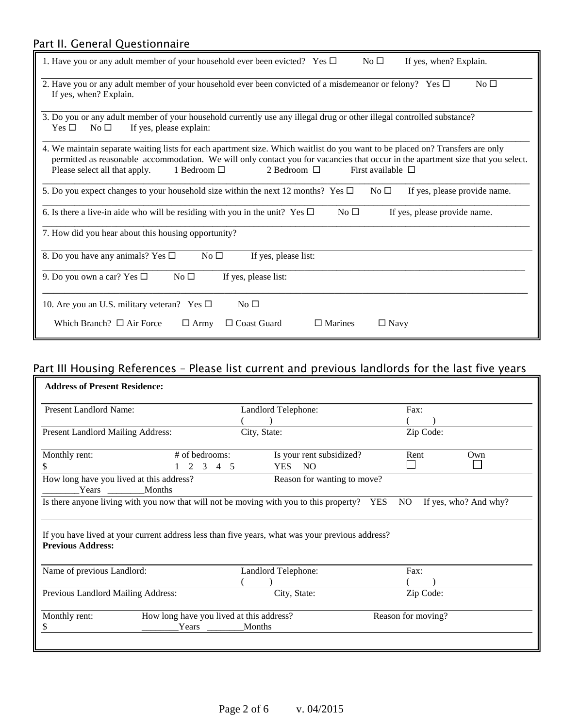# Part II. General Questionnaire

| No <sub>1</sub><br>If yes, when? Explain.<br>1. Have you or any adult member of your household ever been evicted? Yes $\Box$                                                                                                                                                                                                                                   |  |  |  |  |
|----------------------------------------------------------------------------------------------------------------------------------------------------------------------------------------------------------------------------------------------------------------------------------------------------------------------------------------------------------------|--|--|--|--|
| 2. Have you or any adult member of your household ever been convicted of a misdemeanor or felony? Yes $\Box$<br>$No\square$<br>If yes, when? Explain.                                                                                                                                                                                                          |  |  |  |  |
| 3. Do you or any adult member of your household currently use any illegal drug or other illegal controlled substance?<br>If yes, please explain:<br>Yes $\Box$<br>No $\square$                                                                                                                                                                                 |  |  |  |  |
| 4. We maintain separate waiting lists for each apartment size. Which waitlist do you want to be placed on? Transfers are only<br>permitted as reasonable accommodation. We will only contact you for vacancies that occur in the apartment size that you select.<br>2 Bedroom $\Box$<br>1 Bedroom □<br>First available $\Box$<br>Please select all that apply. |  |  |  |  |
| 5. Do you expect changes to your household size within the next 12 months? Yes $\Box$<br>If yes, please provide name.<br>$No\square$                                                                                                                                                                                                                           |  |  |  |  |
| 6. Is there a live-in aide who will be residing with you in the unit? Yes $\Box$<br>$No \square$<br>If yes, please provide name.                                                                                                                                                                                                                               |  |  |  |  |
| 7. How did you hear about this housing opportunity?                                                                                                                                                                                                                                                                                                            |  |  |  |  |
| 8. Do you have any animals? Yes $\Box$<br>$No\square$<br>If yes, please list:                                                                                                                                                                                                                                                                                  |  |  |  |  |
| 9. Do you own a car? Yes $\Box$<br>No <sub>1</sub><br>If yes, please list:                                                                                                                                                                                                                                                                                     |  |  |  |  |
| No <sub>1</sub><br>10. Are you an U.S. military veteran? Yes $\Box$                                                                                                                                                                                                                                                                                            |  |  |  |  |
| Which Branch? $\Box$ Air Force<br>$\Box$ Coast Guard<br>$\Box$ Marines<br>$\Box$ Army<br>$\Box$ Navy                                                                                                                                                                                                                                                           |  |  |  |  |

# Part III Housing References – Please list current and previous landlords for the last five years

| Present Landlord Name:<br><b>Present Landlord Mailing Address:</b>                                                          |                                          | Landlord Telephone:      |                             | Fax:               |     |
|-----------------------------------------------------------------------------------------------------------------------------|------------------------------------------|--------------------------|-----------------------------|--------------------|-----|
|                                                                                                                             |                                          |                          |                             |                    |     |
|                                                                                                                             |                                          |                          |                             |                    |     |
|                                                                                                                             |                                          | City, State:             |                             | Zip Code:          |     |
| Monthly rent:                                                                                                               | # of bedrooms:                           | Is your rent subsidized? |                             | Rent               | Own |
| \$                                                                                                                          | $1 \t2 \t3 \t4 \t5$                      | YES NO                   |                             |                    |     |
| How long have you lived at this address?<br>Months<br>Years                                                                 |                                          |                          | Reason for wanting to move? |                    |     |
| If you have lived at your current address less than five years, what was your previous address?<br><b>Previous Address:</b> |                                          |                          |                             |                    |     |
| Name of previous Landlord:                                                                                                  |                                          | Landlord Telephone:      |                             | Fax:               |     |
| Previous Landlord Mailing Address:                                                                                          |                                          | City, State:             |                             | Zip Code:          |     |
| Monthly rent:                                                                                                               | How long have you lived at this address? |                          |                             | Reason for moving? |     |
| S.                                                                                                                          | Years                                    | Months                   |                             |                    |     |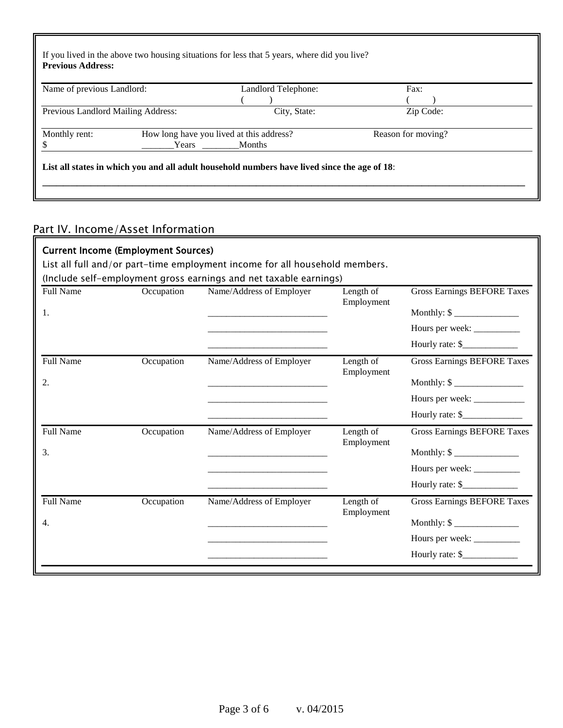| Name of previous Landlord:         |       | Landlord Telephone:                      | Fax:               |
|------------------------------------|-------|------------------------------------------|--------------------|
|                                    |       |                                          |                    |
| Previous Landlord Mailing Address: |       | City, State:                             | Zip Code:          |
| Monthly rent:                      |       | How long have you lived at this address? | Reason for moving? |
|                                    | Years | <b>Months</b>                            |                    |

# Part IV. Income/Asset Information

| <b>Current Income (Employment Sources)</b>                                  |            |                                                                                                                       |                         |                                      |  |
|-----------------------------------------------------------------------------|------------|-----------------------------------------------------------------------------------------------------------------------|-------------------------|--------------------------------------|--|
| List all full and/or part-time employment income for all household members. |            |                                                                                                                       |                         |                                      |  |
| (Include self-employment gross earnings and net taxable earnings)           |            |                                                                                                                       |                         |                                      |  |
| <b>Full Name</b>                                                            | Occupation | Name/Address of Employer                                                                                              | Length of               | <b>Gross Earnings BEFORE Taxes</b>   |  |
| 1.                                                                          |            |                                                                                                                       | Employment              |                                      |  |
|                                                                             |            |                                                                                                                       |                         | Hours per week: __________           |  |
|                                                                             |            |                                                                                                                       |                         | Hourly rate: \$                      |  |
| <b>Full Name</b>                                                            | Occupation | Name/Address of Employer                                                                                              | Length of<br>Employment | <b>Gross Earnings BEFORE Taxes</b>   |  |
| 2.                                                                          |            | <u> 1980 - Andrew Marie Barnett, amerikan beste beste beste beste beste beste beste beste beste beste beste beste</u> |                         |                                      |  |
|                                                                             |            |                                                                                                                       |                         |                                      |  |
|                                                                             |            |                                                                                                                       |                         | Hourly rate: $\frac{\gamma}{\gamma}$ |  |
| Full Name                                                                   | Occupation | Name/Address of Employer                                                                                              | Length of<br>Employment | <b>Gross Earnings BEFORE Taxes</b>   |  |
| 3.                                                                          |            |                                                                                                                       |                         | Monthly: $\frac{\sqrt{2}}{2}$        |  |
|                                                                             |            |                                                                                                                       |                         | Hours per week: __________           |  |
|                                                                             |            |                                                                                                                       |                         | Hourly rate: \$                      |  |
| <b>Full Name</b>                                                            | Occupation | Name/Address of Employer                                                                                              | Length of<br>Employment | <b>Gross Earnings BEFORE Taxes</b>   |  |
| 4.                                                                          |            |                                                                                                                       |                         | Monthly: $\frac{1}{2}$               |  |
|                                                                             |            |                                                                                                                       |                         | Hours per week: ___________          |  |
|                                                                             |            |                                                                                                                       |                         | Hourly rate: $\frac{\gamma}{\gamma}$ |  |
|                                                                             |            |                                                                                                                       |                         |                                      |  |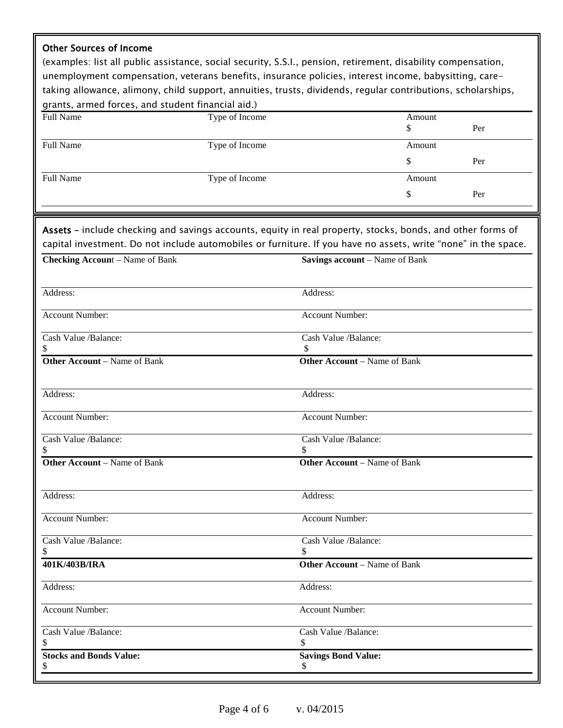### Other Sources of Income

(examples: list all public assistance, social security, S.S.I., pension, retirement, disability compensation, unemployment compensation, veterans benefits, insurance policies, interest income, babysitting, caretaking allowance, alimony, child support, annuities, trusts, dividends, regular contributions, scholarships, grants, armed forces, and student financial aid.)

| Full Name        | Type of Income | Amount<br>\$ | Per |
|------------------|----------------|--------------|-----|
| <b>Full Name</b> | Type of Income | Amount       |     |
|                  |                | S            | Per |
| <b>Full Name</b> | Type of Income | Amount       |     |
|                  |                | \$           | Per |

Assets – include checking and savings accounts, equity in real property, stocks, bonds, and other forms of capital investment. Do not include automobiles or furniture. If you have no assets, write "none" in the space.

| <b>Savings account</b> – Name of Bank |
|---------------------------------------|
|                                       |
| Address:                              |
| Account Number:                       |
| Cash Value /Balance:<br>\$            |
| <b>Other Account</b> – Name of Bank   |
| Address:                              |
| <b>Account Number:</b>                |
| Cash Value /Balance:<br>S             |
| <b>Other Account</b> – Name of Bank   |
| Address:                              |
| Account Number:                       |
| Cash Value /Balance:                  |
| <b>Other Account</b> – Name of Bank   |
| Address:                              |
| <b>Account Number:</b>                |
| Cash Value /Balance:<br>\$            |
| <b>Savings Bond Value:</b><br>\$      |
|                                       |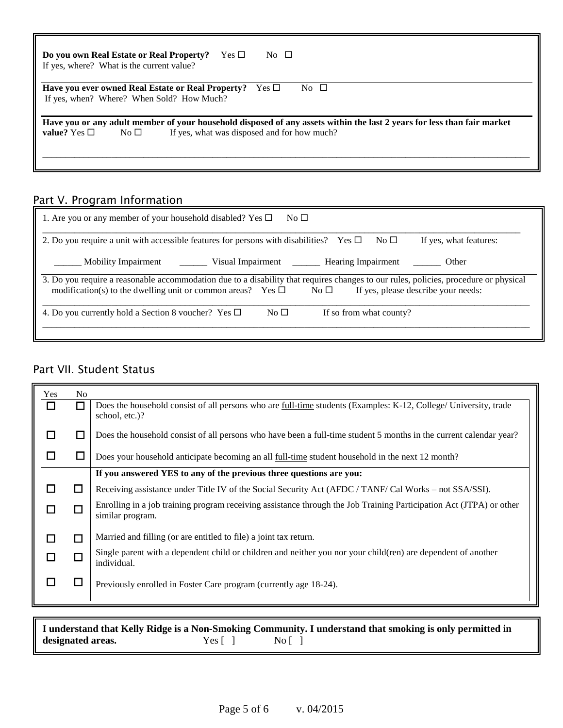| Do you own Real Estate or Real Property?<br>$\text{Yes} \ \square$<br>No $\Box$<br>If yes, where? What is the current value? |  |  |  |
|------------------------------------------------------------------------------------------------------------------------------|--|--|--|
| No $\Box$<br>Have you ever owned Real Estate or Real Property?<br>Yes $\Box$                                                 |  |  |  |
| If yes, when? Where? When Sold? How Much?                                                                                    |  |  |  |
| Have you or any adult member of your household disposed of any assets within the last 2 years for less than fair market      |  |  |  |
| value? Yes $\Box$<br>If yes, what was disposed and for how much?<br>No $\Box$                                                |  |  |  |
|                                                                                                                              |  |  |  |
|                                                                                                                              |  |  |  |

### Part V. Program Information

| 1. Are you or any member of your household disabled? Yes $\Box$<br>No <sub>1</sub>                                                                                                                                                                              |  |  |  |  |
|-----------------------------------------------------------------------------------------------------------------------------------------------------------------------------------------------------------------------------------------------------------------|--|--|--|--|
| 2. Do you require a unit with accessible features for persons with disabilities? Yes $\Box$<br>If yes, what features:<br>No <sub>1</sub>                                                                                                                        |  |  |  |  |
| Mobility Impairment __________ Visual Impairment ____________ Hearing Impairment __________ Other                                                                                                                                                               |  |  |  |  |
| 3. Do you require a reasonable accommodation due to a disability that requires changes to our rules, policies, procedure or physical<br>modification(s) to the dwelling unit or common areas? Yes $\Box$<br>If yes, please describe your needs:<br>No $\square$ |  |  |  |  |
| 4. Do you currently hold a Section 8 voucher? Yes $\Box$<br>No <sub>1</sub><br>If so from what county?                                                                                                                                                          |  |  |  |  |

### Part VII. Student Status

|        | <b>Yes</b><br>N <sub>0</sub> |                                                                                                                                           |
|--------|------------------------------|-------------------------------------------------------------------------------------------------------------------------------------------|
| $\Box$ | П                            | Does the household consist of all persons who are <u>full-time</u> students (Examples: K-12, College/ University, trade<br>school, etc.)? |
| $\Box$ | $\Box$                       | Does the household consist of all persons who have been a full-time student 5 months in the current calendar year?                        |
| $\Box$ | $\Box$                       | Does your household anticipate becoming an all <u>full-time</u> student household in the next 12 month?                                   |
|        |                              | If you answered YES to any of the previous three questions are you:                                                                       |
| $\Box$ | □                            | Receiving assistance under Title IV of the Social Security Act (AFDC / TANF/ Cal Works – not SSA/SSI).                                    |
| □      | п                            | Enrolling in a job training program receiving assistance through the Job Training Participation Act (JTPA) or other<br>similar program.   |
| П      | П                            | Married and filling (or are entitled to file) a joint tax return.                                                                         |
| $\Box$ | $\Box$                       | Single parent with a dependent child or children and neither you nor your child(ren) are dependent of another<br>individual.              |
| $\Box$ | $\Box$                       | Previously enrolled in Foster Care program (currently age 18-24).                                                                         |
|        |                              |                                                                                                                                           |

**I** understand that Kelly Ridge is a Non-Smoking Community. I understand that smoking is only permitted in designated areas.  $\begin{bmatrix} \n\end{bmatrix}$  No  $\begin{bmatrix} \n\end{bmatrix}$ designated areas.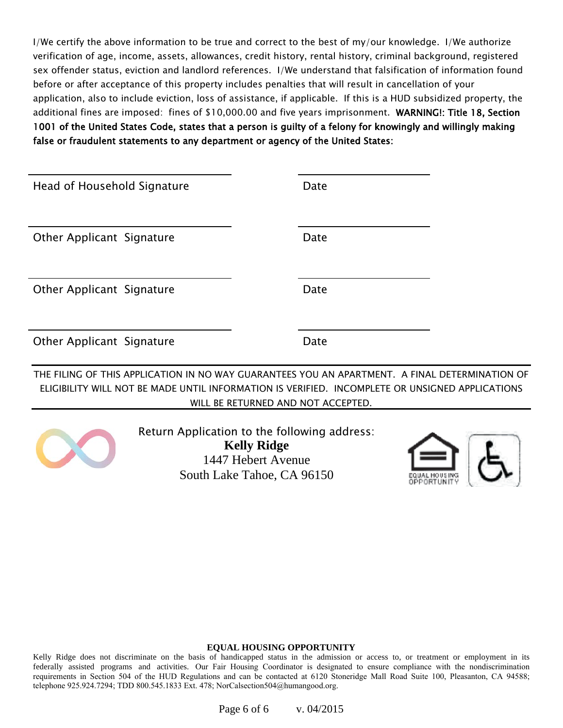I/We certify the above information to be true and correct to the best of my/our knowledge. I/We authorize verification of age, income, assets, allowances, credit history, rental history, criminal background, registered sex offender status, eviction and landlord references. I/We understand that falsification of information found before or after acceptance of this property includes penalties that will result in cancellation of your application, also to include eviction, loss of assistance, if applicable. If this is a HUD subsidized property, the additional fines are imposed: fines of \$10,000.00 and five years imprisonment. WARNING!: Title 18, Section 1001 of the United States Code, states that a person is guilty of a felony for knowingly and willingly making false or fraudulent statements to any department or agency of the United States:

| Head of Household Signature | Date |
|-----------------------------|------|
|                             |      |
| Other Applicant Signature   | Date |
|                             |      |
| Other Applicant Signature   | Date |
|                             |      |
| Other Applicant Signature   | Date |

THE FILING OF THIS APPLICATION IN NO WAY GUARANTEES YOU AN APARTMENT. A FINAL DETERMINATION OF ELIGIBILITY WILL NOT BE MADE UNTIL INFORMATION IS VERIFIED. INCOMPLETE OR UNSIGNED APPLICATIONS WILL BE RETURNED AND NOT ACCEPTED.



Return Application to the following address: **Kelly Ridge** 1447 Hebert Avenue South Lake Tahoe, CA 96150



#### **EQUAL HOUSING OPPORTUNITY**

Kelly Ridge does not discriminate on the basis of handicapped status in the admission or access to, or treatment or employment in its federally assisted programs and activities. Our Fair Housing Coordinator is designated to ensure compliance with the nondiscrimination requirements in Section 504 of the HUD Regulations and can be contacted at 6120 Stoneridge Mall Road Suite 100, Pleasanton, CA 94588; telephone 925.924.7294; TDD 800.545.1833 Ext. 478; NorCalsection504@humangood.org.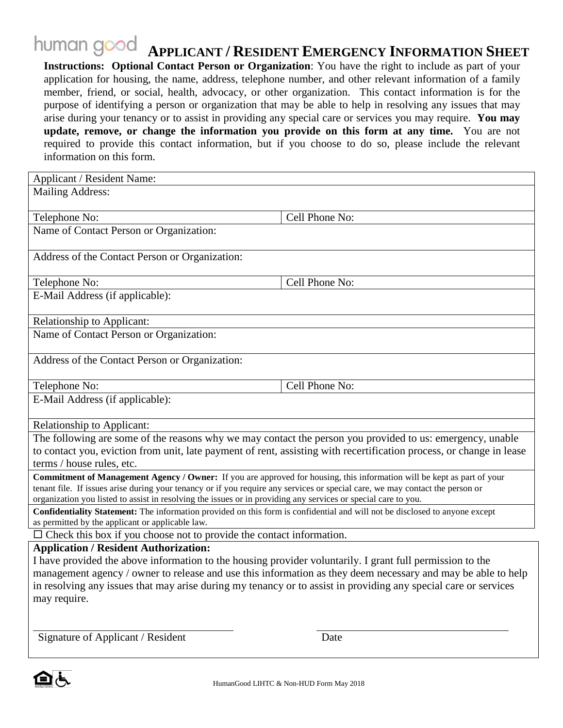### human good  **APPLICANT / RESIDENT EMERGENCY INFORMATION SHEET**

**Instructions: Optional Contact Person or Organization**: You have the right to include as part of your application for housing, the name, address, telephone number, and other relevant information of a family member, friend, or social, health, advocacy, or other organization. This contact information is for the purpose of identifying a person or organization that may be able to help in resolving any issues that may arise during your tenancy or to assist in providing any special care or services you may require. **You may update, remove, or change the information you provide on this form at any time.** You are not required to provide this contact information, but if you choose to do so, please include the relevant information on this form.

| Applicant / Resident Name:                                                                                                                                                                                                        |                |  |  |  |
|-----------------------------------------------------------------------------------------------------------------------------------------------------------------------------------------------------------------------------------|----------------|--|--|--|
| <b>Mailing Address:</b>                                                                                                                                                                                                           |                |  |  |  |
|                                                                                                                                                                                                                                   |                |  |  |  |
| Telephone No:                                                                                                                                                                                                                     | Cell Phone No: |  |  |  |
| Name of Contact Person or Organization:                                                                                                                                                                                           |                |  |  |  |
|                                                                                                                                                                                                                                   |                |  |  |  |
| Address of the Contact Person or Organization:                                                                                                                                                                                    |                |  |  |  |
| Telephone No:                                                                                                                                                                                                                     | Cell Phone No: |  |  |  |
| E-Mail Address (if applicable):                                                                                                                                                                                                   |                |  |  |  |
|                                                                                                                                                                                                                                   |                |  |  |  |
| Relationship to Applicant:                                                                                                                                                                                                        |                |  |  |  |
| Name of Contact Person or Organization:                                                                                                                                                                                           |                |  |  |  |
|                                                                                                                                                                                                                                   |                |  |  |  |
| Address of the Contact Person or Organization:                                                                                                                                                                                    |                |  |  |  |
|                                                                                                                                                                                                                                   |                |  |  |  |
| Telephone No:                                                                                                                                                                                                                     | Cell Phone No: |  |  |  |
| E-Mail Address (if applicable):                                                                                                                                                                                                   |                |  |  |  |
| <b>Relationship to Applicant:</b>                                                                                                                                                                                                 |                |  |  |  |
|                                                                                                                                                                                                                                   |                |  |  |  |
| The following are some of the reasons why we may contact the person you provided to us: emergency, unable<br>to contact you, eviction from unit, late payment of rent, assisting with recertification process, or change in lease |                |  |  |  |
| terms / house rules, etc.                                                                                                                                                                                                         |                |  |  |  |
| <b>Commitment of Management Agency / Owner:</b> If you are approved for housing, this information will be kept as part of your                                                                                                    |                |  |  |  |
| tenant file. If issues arise during your tenancy or if you require any services or special care, we may contact the person or                                                                                                     |                |  |  |  |
| organization you listed to assist in resolving the issues or in providing any services or special care to you.                                                                                                                    |                |  |  |  |
| Confidentiality Statement: The information provided on this form is confidential and will not be disclosed to anyone except                                                                                                       |                |  |  |  |
| as permitted by the applicant or applicable law.<br>$\Box$ Check this box if you choose not to provide the contact information.                                                                                                   |                |  |  |  |
| <b>Application / Resident Authorization:</b>                                                                                                                                                                                      |                |  |  |  |
|                                                                                                                                                                                                                                   |                |  |  |  |
| I have provided the above information to the housing provider voluntarily. I grant full permission to the<br>management agency / owner to release and use this information as they deem necessary and may be able to help         |                |  |  |  |
| in resolving any issues that may arise during my tenancy or to assist in providing any special care or services                                                                                                                   |                |  |  |  |
| may require.                                                                                                                                                                                                                      |                |  |  |  |
|                                                                                                                                                                                                                                   |                |  |  |  |
|                                                                                                                                                                                                                                   |                |  |  |  |

Signature of Applicant / Resident Date